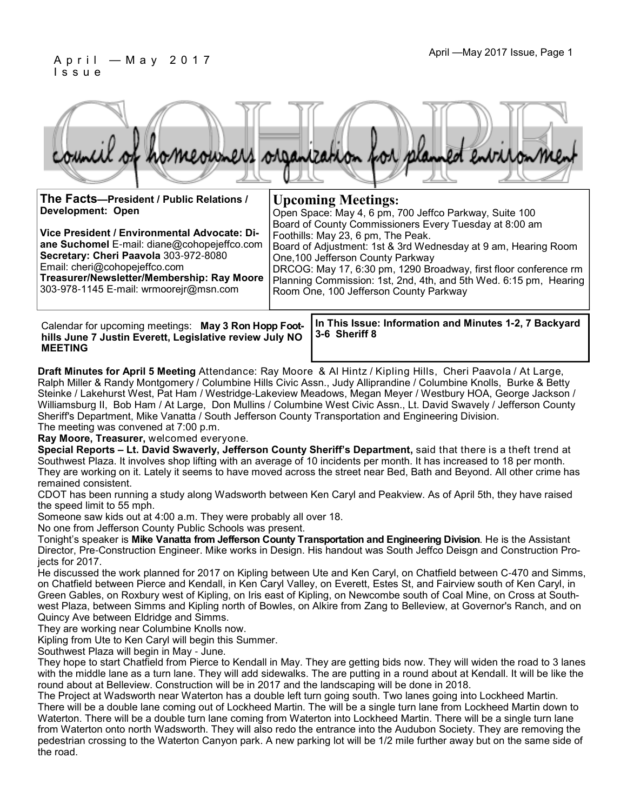### April — May 2017 Issue, Page 1 I s s u e



| The Facts-President / Public Relations /<br><b>Development: Open</b>                                                                                                                                                                                          | <b>Upcoming Meetings:</b><br>Open Space: May 4, 6 pm, 700 Jeffco Parkway, Suite 100                                                                                                                                                                                                                                                                                                    |
|---------------------------------------------------------------------------------------------------------------------------------------------------------------------------------------------------------------------------------------------------------------|----------------------------------------------------------------------------------------------------------------------------------------------------------------------------------------------------------------------------------------------------------------------------------------------------------------------------------------------------------------------------------------|
| Vice President / Environmental Advocate: Di-<br>ane Suchomel E-mail: diane@cohopejeffco.com<br>Secretary: Cheri Paavola 303-972-8080<br>Email: cheri@cohopejeffco.com<br>Treasurer/Newsletter/Membership: Ray Moore<br>303-978-1145 E-mail: wrmoorejr@msn.com | Board of County Commissioners Every Tuesday at 8:00 am<br>Foothills: May 23, 6 pm, The Peak.<br>Board of Adjustment: 1st & 3rd Wednesday at 9 am, Hearing Room<br>One, 100 Jefferson County Parkway<br>DRCOG: May 17, 6:30 pm, 1290 Broadway, first floor conference rm<br>Planning Commission: 1st, 2nd, 4th, and 5th Wed. 6:15 pm, Hearing<br>Room One, 100 Jefferson County Parkway |
|                                                                                                                                                                                                                                                               |                                                                                                                                                                                                                                                                                                                                                                                        |

Calendar for upcoming meetings: **May 3 Ron Hopp Foothills June 7 Justin Everett, Legislative review July NO MEETING**

**In This Issue: Information and Minutes 1-2, 7 Backyard 3-6 Sheriff 8**

**Draft Minutes for April 5 Meeting** Attendance: Ray Moore & Al Hintz / Kipling Hills, Cheri Paavola / At Large, Ralph Miller & Randy Montgomery / Columbine Hills Civic Assn., Judy Alliprandine / Columbine Knolls, Burke & Betty Steinke / Lakehurst West, Pat Ham / Westridge-Lakeview Meadows, Megan Meyer / Westbury HOA, George Jackson / Williamsburg II, Bob Ham / At Large, Don Mullins / Columbine West Civic Assn., Lt. David Swavely / Jefferson County Sheriff's Department, Mike Vanatta / South Jefferson County Transportation and Engineering Division. The meeting was convened at 7:00 p.m.

**Ray Moore, Treasurer,** welcomed everyone.

**Special Reports – Lt. David Swaverly, Jefferson County Sheriff's Department,** said that there is a theft trend at Southwest Plaza. It involves shop lifting with an average of 10 incidents per month. It has increased to 18 per month. They are working on it. Lately it seems to have moved across the street near Bed, Bath and Beyond. All other crime has remained consistent.

CDOT has been running a study along Wadsworth between Ken Caryl and Peakview. As of April 5th, they have raised the speed limit to 55 mph.

Someone saw kids out at 4:00 a.m. They were probably all over 18.

No one from Jefferson County Public Schools was present.

Tonight's speaker is **Mike Vanatta from Jefferson County Transportation and Engineering Division**. He is the Assistant Director, Pre-Construction Engineer. Mike works in Design. His handout was South Jeffco Deisgn and Construction Projects for 2017.

He discussed the work planned for 2017 on Kipling between Ute and Ken Caryl, on Chatfield between C-470 and Simms, on Chatfield between Pierce and Kendall, in Ken Caryl Valley, on Everett, Estes St, and Fairview south of Ken Caryl, in Green Gables, on Roxbury west of Kipling, on Iris east of Kipling, on Newcombe south of Coal Mine, on Cross at Southwest Plaza, between Simms and Kipling north of Bowles, on Alkire from Zang to Belleview, at Governor's Ranch, and on Quincy Ave between Eldridge and Simms.

They are working near Columbine Knolls now.

Kipling from Ute to Ken Caryl will begin this Summer.

Southwest Plaza will begin in May - June.

They hope to start Chatfield from Pierce to Kendall in May. They are getting bids now. They will widen the road to 3 lanes with the middle lane as a turn lane. They will add sidewalks. The are putting in a round about at Kendall. It will be like the round about at Belleview. Construction will be in 2017 and the landscaping will be done in 2018.

The Project at Wadsworth near Waterton has a double left turn going south. Two lanes going into Lockheed Martin. There will be a double lane coming out of Lockheed Martin. The will be a single turn lane from Lockheed Martin down to Waterton. There will be a double turn lane coming from Waterton into Lockheed Martin. There will be a single turn lane from Waterton onto north Wadsworth. They will also redo the entrance into the Audubon Society. They are removing the pedestrian crossing to the Waterton Canyon park. A new parking lot will be 1/2 mile further away but on the same side of the road.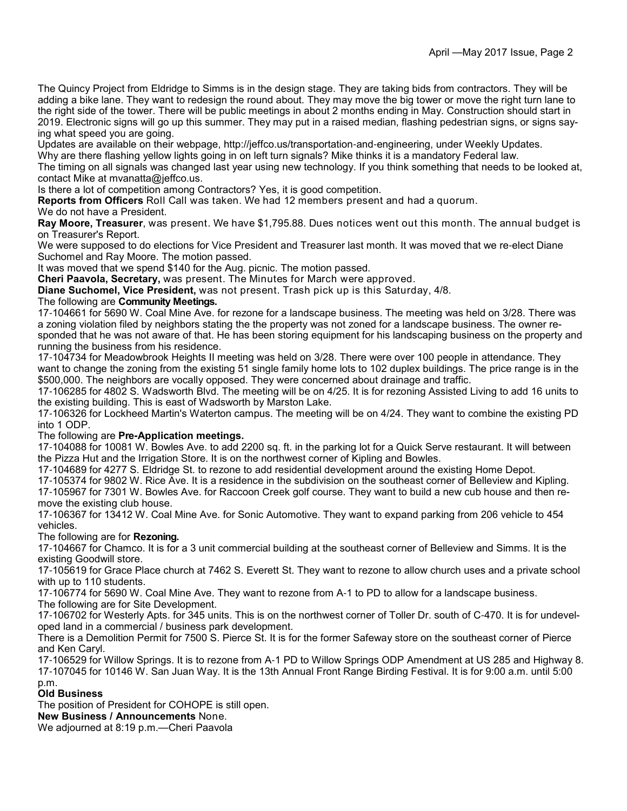The Quincy Project from Eldridge to Simms is in the design stage. They are taking bids from contractors. They will be adding a bike lane. They want to redesign the round about. They may move the big tower or move the right turn lane to the right side of the tower. There will be public meetings in about 2 months ending in May. Construction should start in 2019. Electronic signs will go up this summer. They may put in a raised median, flashing pedestrian signs, or signs saying what speed you are going.

Updates are available on their webpage, http://jeffco.us/transportation-and-engineering, under Weekly Updates.

Why are there flashing yellow lights going in on left turn signals? Mike thinks it is a mandatory Federal law.

The timing on all signals was changed last year using new technology. If you think something that needs to be looked at, contact Mike at mvanatta@jeffco.us.

Is there a lot of competition among Contractors? Yes, it is good competition.

**Reports from Officers** Roll Call was taken. We had 12 members present and had a quorum.

We do not have a President.

**Ray Moore, Treasurer**, was present. We have \$1,795.88. Dues notices went out this month. The annual budget is on Treasurer's Report.

We were supposed to do elections for Vice President and Treasurer last month. It was moved that we re-elect Diane Suchomel and Ray Moore. The motion passed.

It was moved that we spend \$140 for the Aug. picnic. The motion passed.

**Cheri Paavola, Secretary,** was present. The Minutes for March were approved.

**Diane Suchomel, Vice President,** was not present. Trash pick up is this Saturday, 4/8.

#### The following are **Community Meetings.**

17-104661 for 5690 W. Coal Mine Ave. for rezone for a landscape business. The meeting was held on 3/28. There was a zoning violation filed by neighbors stating the the property was not zoned for a landscape business. The owner responded that he was not aware of that. He has been storing equipment for his landscaping business on the property and running the business from his residence.

17-104734 for Meadowbrook Heights II meeting was held on 3/28. There were over 100 people in attendance. They want to change the zoning from the existing 51 single family home lots to 102 duplex buildings. The price range is in the \$500,000. The neighbors are vocally opposed. They were concerned about drainage and traffic.

17-106285 for 4802 S. Wadsworth Blvd. The meeting will be on 4/25. It is for rezoning Assisted Living to add 16 units to the existing building. This is east of Wadsworth by Marston Lake.

17-106326 for Lockheed Martin's Waterton campus. The meeting will be on 4/24. They want to combine the existing PD into 1 ODP.

#### The following are **Pre-Application meetings.**

17-104088 for 10081 W. Bowles Ave. to add 2200 sq. ft. in the parking lot for a Quick Serve restaurant. It will between the Pizza Hut and the Irrigation Store. It is on the northwest corner of Kipling and Bowles.

17-104689 for 4277 S. Eldridge St. to rezone to add residential development around the existing Home Depot.

17-105374 for 9802 W. Rice Ave. It is a residence in the subdivision on the southeast corner of Belleview and Kipling. 17-105967 for 7301 W. Bowles Ave. for Raccoon Creek golf course. They want to build a new cub house and then remove the existing club house.

17-106367 for 13412 W. Coal Mine Ave. for Sonic Automotive. They want to expand parking from 206 vehicle to 454 vehicles.

### The following are for **Rezoning.**

17-104667 for Chamco. It is for a 3 unit commercial building at the southeast corner of Belleview and Simms. It is the existing Goodwill store.

17-105619 for Grace Place church at 7462 S. Everett St. They want to rezone to allow church uses and a private school with up to 110 students.

17-106774 for 5690 W. Coal Mine Ave. They want to rezone from A-1 to PD to allow for a landscape business. The following are for Site Development.

17-106702 for Westerly Apts. for 345 units. This is on the northwest corner of Toller Dr. south of C-470. It is for undeveloped land in a commercial / business park development.

There is a Demolition Permit for 7500 S. Pierce St. It is for the former Safeway store on the southeast corner of Pierce and Ken Caryl.

17-106529 for Willow Springs. It is to rezone from A-1 PD to Willow Springs ODP Amendment at US 285 and Highway 8. 17-107045 for 10146 W. San Juan Way. It is the 13th Annual Front Range Birding Festival. It is for 9:00 a.m. until 5:00 p.m.

### **Old Business**

The position of President for COHOPE is still open.

**New Business / Announcements** None.

We adjourned at 8:19 p.m.—Cheri Paavola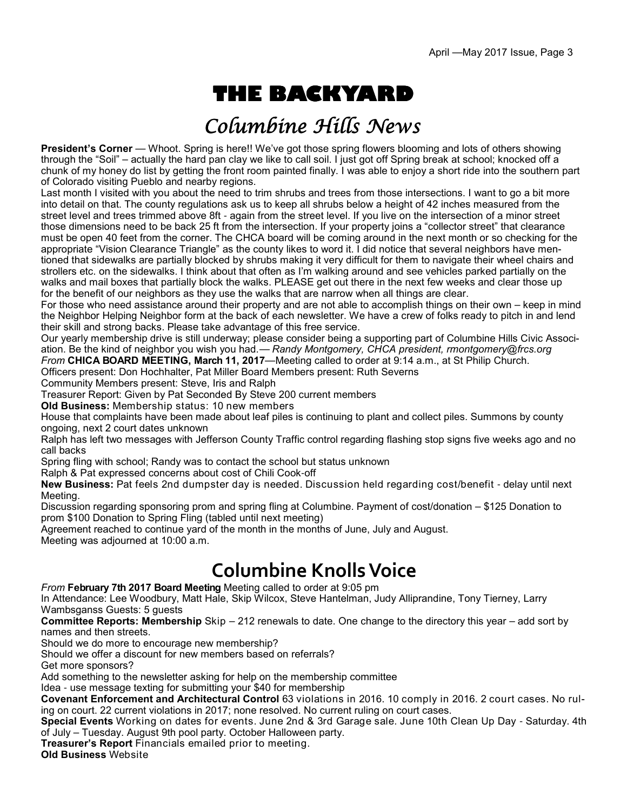# **THE BACKYARD**

## Columbine Hills News

**President's Corner** — Whoot. Spring is here!! We've got those spring flowers blooming and lots of others showing through the "Soil" – actually the hard pan clay we like to call soil. I just got off Spring break at school; knocked off a chunk of my honey do list by getting the front room painted finally. I was able to enjoy a short ride into the southern part of Colorado visiting Pueblo and nearby regions.

Last month I visited with you about the need to trim shrubs and trees from those intersections. I want to go a bit more into detail on that. The county regulations ask us to keep all shrubs below a height of 42 inches measured from the street level and trees trimmed above 8ft - again from the street level. If you live on the intersection of a minor street those dimensions need to be back 25 ft from the intersection. If your property joins a "collector street" that clearance must be open 40 feet from the corner. The CHCA board will be coming around in the next month or so checking for the appropriate "Vision Clearance Triangle" as the county likes to word it. I did notice that several neighbors have mentioned that sidewalks are partially blocked by shrubs making it very difficult for them to navigate their wheel chairs and strollers etc. on the sidewalks. I think about that often as I'm walking around and see vehicles parked partially on the walks and mail boxes that partially block the walks. PLEASE get out there in the next few weeks and clear those up for the benefit of our neighbors as they use the walks that are narrow when all things are clear.

For those who need assistance around their property and are not able to accomplish things on their own – keep in mind the Neighbor Helping Neighbor form at the back of each newsletter. We have a crew of folks ready to pitch in and lend their skill and strong backs. Please take advantage of this free service.

Our yearly membership drive is still underway; please consider being a supporting part of Columbine Hills Civic Association. Be the kind of neighbor you wish you had.— *Randy Montgomery, CHCA president, rmontgomery@frcs.org From* **CHICA BOARD MEETING, March 11, 2017**—Meeting called to order at 9:14 a.m., at St Philip Church.

Officers present: Don Hochhalter, Pat Miller Board Members present: Ruth Severns

Community Members present: Steve, Iris and Ralph

Treasurer Report: Given by Pat Seconded By Steve 200 current members

**Old Business:** Membership status: 10 new members

House that complaints have been made about leaf piles is continuing to plant and collect piles. Summons by county ongoing, next 2 court dates unknown

Ralph has left two messages with Jefferson County Traffic control regarding flashing stop signs five weeks ago and no call backs

Spring fling with school; Randy was to contact the school but status unknown

Ralph & Pat expressed concerns about cost of Chili Cook-off

**New Business:** Pat feels 2nd dumpster day is needed. Discussion held regarding cost/benefit - delay until next Meeting.

Discussion regarding sponsoring prom and spring fling at Columbine. Payment of cost/donation – \$125 Donation to prom \$100 Donation to Spring Fling (tabled until next meeting)

Agreement reached to continue yard of the month in the months of June, July and August. Meeting was adjourned at 10:00 a.m.

## **Columbine Knolls Voice**

*From* **February 7th 2017 Board Meeting** Meeting called to order at 9:05 pm

In Attendance: Lee Woodbury, Matt Hale, Skip Wilcox, Steve Hantelman, Judy Alliprandine, Tony Tierney, Larry Wambsganss Guests: 5 guests

**Committee Reports: Membership** Skip – 212 renewals to date. One change to the directory this year – add sort by names and then streets.

Should we do more to encourage new membership?

Should we offer a discount for new members based on referrals?

Get more sponsors?

Add something to the newsletter asking for help on the membership committee

Idea - use message texting for submitting your \$40 for membership

**Covenant Enforcement and Architectural Control** 63 violations in 2016. 10 comply in 2016. 2 court cases. No ruling on court. 22 current violations in 2017; none resolved. No current ruling on court cases.

**Special Events** Working on dates for events. June 2nd & 3rd Garage sale. June 10th Clean Up Day - Saturday. 4th of July – Tuesday. August 9th pool party. October Halloween party.

**Treasurer's Report** Financials emailed prior to meeting.

**Old Business** Website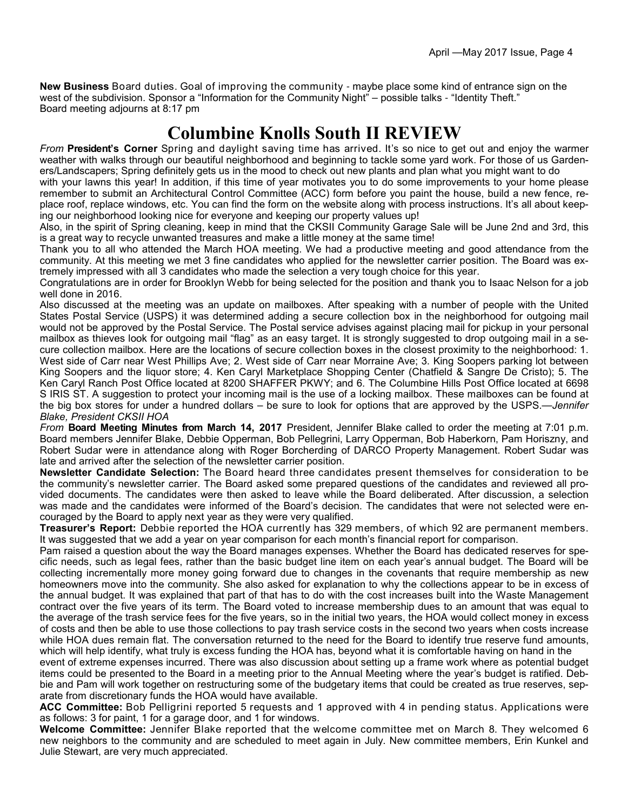**New Business** Board duties. Goal of improving the community - maybe place some kind of entrance sign on the west of the subdivision. Sponsor a "Information for the Community Night" – possible talks - "Identity Theft." Board meeting adjourns at 8:17 pm

### **Columbine Knolls South II REVIEW**

*From* **President's Corner** Spring and daylight saving time has arrived. It's so nice to get out and enjoy the warmer weather with walks through our beautiful neighborhood and beginning to tackle some yard work. For those of us Gardeners/Landscapers; Spring definitely gets us in the mood to check out new plants and plan what you might want to do with your lawns this year! In addition, if this time of year motivates you to do some improvements to your home please

remember to submit an Architectural Control Committee (ACC) form before you paint the house, build a new fence, replace roof, replace windows, etc. You can find the form on the website along with process instructions. It's all about keeping our neighborhood looking nice for everyone and keeping our property values up!

Also, in the spirit of Spring cleaning, keep in mind that the CKSII Community Garage Sale will be June 2nd and 3rd, this is a great way to recycle unwanted treasures and make a little money at the same time!

Thank you to all who attended the March HOA meeting. We had a productive meeting and good attendance from the community. At this meeting we met 3 fine candidates who applied for the newsletter carrier position. The Board was extremely impressed with all 3 candidates who made the selection a very tough choice for this year.

Congratulations are in order for Brooklyn Webb for being selected for the position and thank you to Isaac Nelson for a job well done in 2016.

Also discussed at the meeting was an update on mailboxes. After speaking with a number of people with the United States Postal Service (USPS) it was determined adding a secure collection box in the neighborhood for outgoing mail would not be approved by the Postal Service. The Postal service advises against placing mail for pickup in your personal mailbox as thieves look for outgoing mail "flag" as an easy target. It is strongly suggested to drop outgoing mail in a secure collection mailbox. Here are the locations of secure collection boxes in the closest proximity to the neighborhood: 1. West side of Carr near West Phillips Ave; 2. West side of Carr near Morraine Ave; 3. King Soopers parking lot between King Soopers and the liquor store; 4. Ken Caryl Marketplace Shopping Center (Chatfield & Sangre De Cristo); 5. The Ken Caryl Ranch Post Office located at 8200 SHAFFER PKWY; and 6. The Columbine Hills Post Office located at 6698 S IRIS ST. A suggestion to protect your incoming mail is the use of a locking mailbox. These mailboxes can be found at the big box stores for under a hundred dollars – be sure to look for options that are approved by the USPS.—*Jennifer Blake, President CKSII HOA*

*From* **Board Meeting Minutes from March 14, 2017** President, Jennifer Blake called to order the meeting at 7:01 p.m. Board members Jennifer Blake, Debbie Opperman, Bob Pellegrini, Larry Opperman, Bob Haberkorn, Pam Horiszny, and Robert Sudar were in attendance along with Roger Borcherding of DARCO Property Management. Robert Sudar was late and arrived after the selection of the newsletter carrier position.

**Newsletter Candidate Selection:** The Board heard three candidates present themselves for consideration to be the community's newsletter carrier. The Board asked some prepared questions of the candidates and reviewed all provided documents. The candidates were then asked to leave while the Board deliberated. After discussion, a selection was made and the candidates were informed of the Board's decision. The candidates that were not selected were encouraged by the Board to apply next year as they were very qualified.

**Treasurer's Report:** Debbie reported the HOA currently has 329 members, of which 92 are permanent members. It was suggested that we add a year on year comparison for each month's financial report for comparison.

Pam raised a question about the way the Board manages expenses. Whether the Board has dedicated reserves for specific needs, such as legal fees, rather than the basic budget line item on each year's annual budget. The Board will be collecting incrementally more money going forward due to changes in the covenants that require membership as new homeowners move into the community. She also asked for explanation to why the collections appear to be in excess of the annual budget. It was explained that part of that has to do with the cost increases built into the Waste Management contract over the five years of its term. The Board voted to increase membership dues to an amount that was equal to the average of the trash service fees for the five years, so in the initial two years, the HOA would collect money in excess of costs and then be able to use those collections to pay trash service costs in the second two years when costs increase while HOA dues remain flat. The conversation returned to the need for the Board to identify true reserve fund amounts, which will help identify, what truly is excess funding the HOA has, beyond what it is comfortable having on hand in the

event of extreme expenses incurred. There was also discussion about setting up a frame work where as potential budget items could be presented to the Board in a meeting prior to the Annual Meeting where the year's budget is ratified. Debbie and Pam will work together on restructuring some of the budgetary items that could be created as true reserves, separate from discretionary funds the HOA would have available.

**ACC Committee:** Bob Pelligrini reported 5 requests and 1 approved with 4 in pending status. Applications were as follows: 3 for paint, 1 for a garage door, and 1 for windows.

**Welcome Committee:** Jennifer Blake reported that the welcome committee met on March 8. They welcomed 6 new neighbors to the community and are scheduled to meet again in July. New committee members, Erin Kunkel and Julie Stewart, are very much appreciated.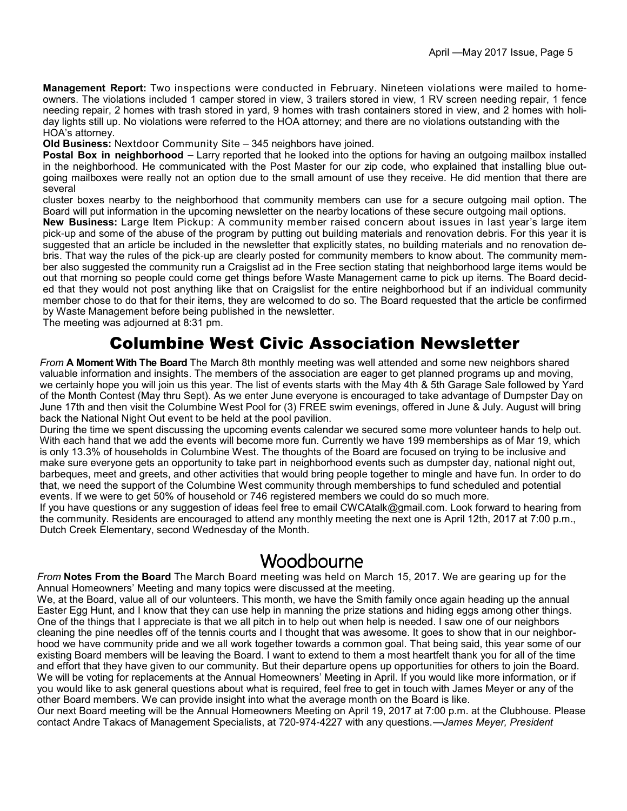**Management Report:** Two inspections were conducted in February. Nineteen violations were mailed to homeowners. The violations included 1 camper stored in view, 3 trailers stored in view, 1 RV screen needing repair, 1 fence needing repair, 2 homes with trash stored in yard, 9 homes with trash containers stored in view, and 2 homes with holiday lights still up. No violations were referred to the HOA attorney; and there are no violations outstanding with the HOA's attorney.

**Old Business:** Nextdoor Community Site – 345 neighbors have joined.

**Postal Box in neighborhood** – Larry reported that he looked into the options for having an outgoing mailbox installed in the neighborhood. He communicated with the Post Master for our zip code, who explained that installing blue outgoing mailboxes were really not an option due to the small amount of use they receive. He did mention that there are several

cluster boxes nearby to the neighborhood that community members can use for a secure outgoing mail option. The Board will put information in the upcoming newsletter on the nearby locations of these secure outgoing mail options.

**New Business:** Large Item Pickup: A community member raised concern about issues in last year's large item pick-up and some of the abuse of the program by putting out building materials and renovation debris. For this year it is suggested that an article be included in the newsletter that explicitly states, no building materials and no renovation debris. That way the rules of the pick-up are clearly posted for community members to know about. The community member also suggested the community run a Craigslist ad in the Free section stating that neighborhood large items would be out that morning so people could come get things before Waste Management came to pick up items. The Board decided that they would not post anything like that on Craigslist for the entire neighborhood but if an individual community member chose to do that for their items, they are welcomed to do so. The Board requested that the article be confirmed by Waste Management before being published in the newsletter.

The meeting was adjourned at 8:31 pm.

### Columbine West Civic Association Newsletter

*From* **A Moment With The Board** The March 8th monthly meeting was well attended and some new neighbors shared valuable information and insights. The members of the association are eager to get planned programs up and moving, we certainly hope you will join us this year. The list of events starts with the May 4th & 5th Garage Sale followed by Yard of the Month Contest (May thru Sept). As we enter June everyone is encouraged to take advantage of Dumpster Day on June 17th and then visit the Columbine West Pool for (3) FREE swim evenings, offered in June & July. August will bring back the National Night Out event to be held at the pool pavilion.

During the time we spent discussing the upcoming events calendar we secured some more volunteer hands to help out. With each hand that we add the events will become more fun. Currently we have 199 memberships as of Mar 19, which is only 13.3% of households in Columbine West. The thoughts of the Board are focused on trying to be inclusive and make sure everyone gets an opportunity to take part in neighborhood events such as dumpster day, national night out, barbeques, meet and greets, and other activities that would bring people together to mingle and have fun. In order to do that, we need the support of the Columbine West community through memberships to fund scheduled and potential events. If we were to get 50% of household or 746 registered members we could do so much more.

If you have questions or any suggestion of ideas feel free to email CWCAtalk@gmail.com. Look forward to hearing from the community. Residents are encouraged to attend any monthly meeting the next one is April 12th, 2017 at 7:00 p.m., Dutch Creek Elementary, second Wednesday of the Month.

### Woodbourne

*From* **Notes From the Board** The March Board meeting was held on March 15, 2017. We are gearing up for the Annual Homeowners' Meeting and many topics were discussed at the meeting.

We, at the Board, value all of our volunteers. This month, we have the Smith family once again heading up the annual Easter Egg Hunt, and I know that they can use help in manning the prize stations and hiding eggs among other things. One of the things that I appreciate is that we all pitch in to help out when help is needed. I saw one of our neighbors cleaning the pine needles off of the tennis courts and I thought that was awesome. It goes to show that in our neighborhood we have community pride and we all work together towards a common goal. That being said, this year some of our existing Board members will be leaving the Board. I want to extend to them a most heartfelt thank you for all of the time and effort that they have given to our community. But their departure opens up opportunities for others to join the Board. We will be voting for replacements at the Annual Homeowners' Meeting in April. If you would like more information, or if you would like to ask general questions about what is required, feel free to get in touch with James Meyer or any of the other Board members. We can provide insight into what the average month on the Board is like.

Our next Board meeting will be the Annual Homeowners Meeting on April 19, 2017 at 7:00 p.m. at the Clubhouse. Please contact Andre Takacs of Management Specialists, at 720-974-4227 with any questions.—*James Meyer, President*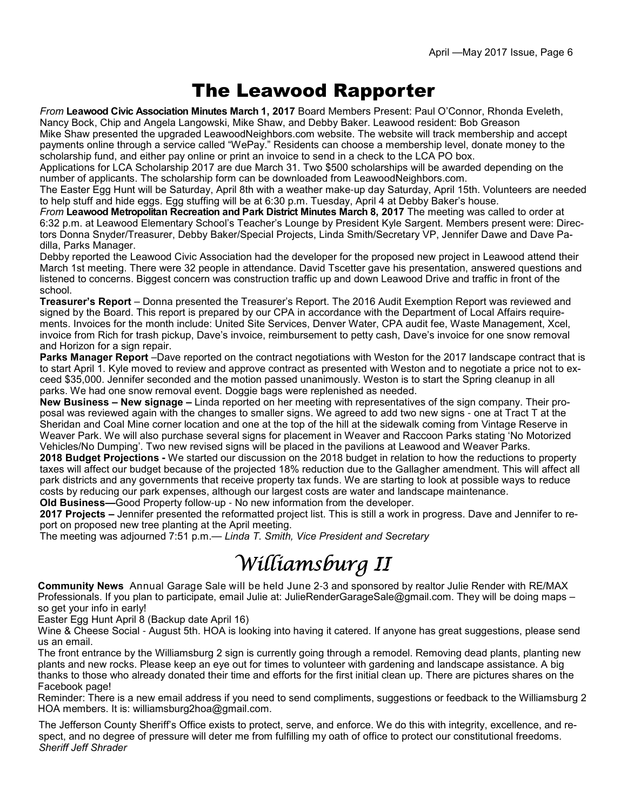## The Leawood Rapporter

*From* **Leawood Civic Association Minutes March 1, 2017** Board Members Present: Paul O'Connor, Rhonda Eveleth, Nancy Bock, Chip and Angela Langowski, Mike Shaw, and Debby Baker. Leawood resident: Bob Greason Mike Shaw presented the upgraded LeawoodNeighbors.com website. The website will track membership and accept payments online through a service called "WePay." Residents can choose a membership level, donate money to the scholarship fund, and either pay online or print an invoice to send in a check to the LCA PO box.

Applications for LCA Scholarship 2017 are due March 31. Two \$500 scholarships will be awarded depending on the number of applicants. The scholarship form can be downloaded from LeawoodNeighbors.com.

The Easter Egg Hunt will be Saturday, April 8th with a weather make-up day Saturday, April 15th. Volunteers are needed to help stuff and hide eggs. Egg stuffing will be at 6:30 p.m. Tuesday, April 4 at Debby Baker's house.

*From* **Leawood Metropolitan Recreation and Park District Minutes March 8, 2017** The meeting was called to order at 6:32 p.m. at Leawood Elementary School's Teacher's Lounge by President Kyle Sargent. Members present were: Directors Donna Snyder/Treasurer, Debby Baker/Special Projects, Linda Smith/Secretary VP, Jennifer Dawe and Dave Padilla, Parks Manager.

Debby reported the Leawood Civic Association had the developer for the proposed new project in Leawood attend their March 1st meeting. There were 32 people in attendance. David Tscetter gave his presentation, answered questions and listened to concerns. Biggest concern was construction traffic up and down Leawood Drive and traffic in front of the school.

**Treasurer's Report** – Donna presented the Treasurer's Report. The 2016 Audit Exemption Report was reviewed and signed by the Board. This report is prepared by our CPA in accordance with the Department of Local Affairs requirements. Invoices for the month include: United Site Services, Denver Water, CPA audit fee, Waste Management, Xcel, invoice from Rich for trash pickup, Dave's invoice, reimbursement to petty cash, Dave's invoice for one snow removal and Horizon for a sign repair.

**Parks Manager Report** –Dave reported on the contract negotiations with Weston for the 2017 landscape contract that is to start April 1. Kyle moved to review and approve contract as presented with Weston and to negotiate a price not to exceed \$35,000. Jennifer seconded and the motion passed unanimously. Weston is to start the Spring cleanup in all parks. We had one snow removal event. Doggie bags were replenished as needed.

**New Business – New signage –** Linda reported on her meeting with representatives of the sign company. Their proposal was reviewed again with the changes to smaller signs. We agreed to add two new signs - one at Tract T at the Sheridan and Coal Mine corner location and one at the top of the hill at the sidewalk coming from Vintage Reserve in Weaver Park. We will also purchase several signs for placement in Weaver and Raccoon Parks stating 'No Motorized Vehicles/No Dumping'. Two new revised signs will be placed in the pavilions at Leawood and Weaver Parks.

**2018 Budget Projections -** We started our discussion on the 2018 budget in relation to how the reductions to property taxes will affect our budget because of the projected 18% reduction due to the Gallagher amendment. This will affect all park districts and any governments that receive property tax funds. We are starting to look at possible ways to reduce costs by reducing our park expenses, although our largest costs are water and landscape maintenance. **Old Business—**Good Property follow-up - No new information from the developer.

**2017 Projects –** Jennifer presented the reformatted project list. This is still a work in progress. Dave and Jennifer to report on proposed new tree planting at the April meeting.

The meeting was adjourned 7:51 p.m.— *Linda T. Smith, Vice President and Secretary*

# Williamsburg II

**Community News** Annual Garage Sale will be held June 2-3 and sponsored by realtor Julie Render with RE/MAX Professionals. If you plan to participate, email Julie at: JulieRenderGarageSale@gmail.com. They will be doing maps – so get your info in early!

Easter Egg Hunt April 8 (Backup date April 16)

Wine & Cheese Social - August 5th. HOA is looking into having it catered. If anyone has great suggestions, please send us an email.

The front entrance by the Williamsburg 2 sign is currently going through a remodel. Removing dead plants, planting new plants and new rocks. Please keep an eye out for times to volunteer with gardening and landscape assistance. A big thanks to those who already donated their time and efforts for the first initial clean up. There are pictures shares on the Facebook page!

Reminder: There is a new email address if you need to send compliments, suggestions or feedback to the Williamsburg 2 HOA members. It is: williamsburg2hoa@gmail.com.

The Jefferson County Sheriff's Office exists to protect, serve, and enforce. We do this with integrity, excellence, and respect, and no degree of pressure will deter me from fulfilling my oath of office to protect our constitutional freedoms. *Sheriff Jeff Shrader*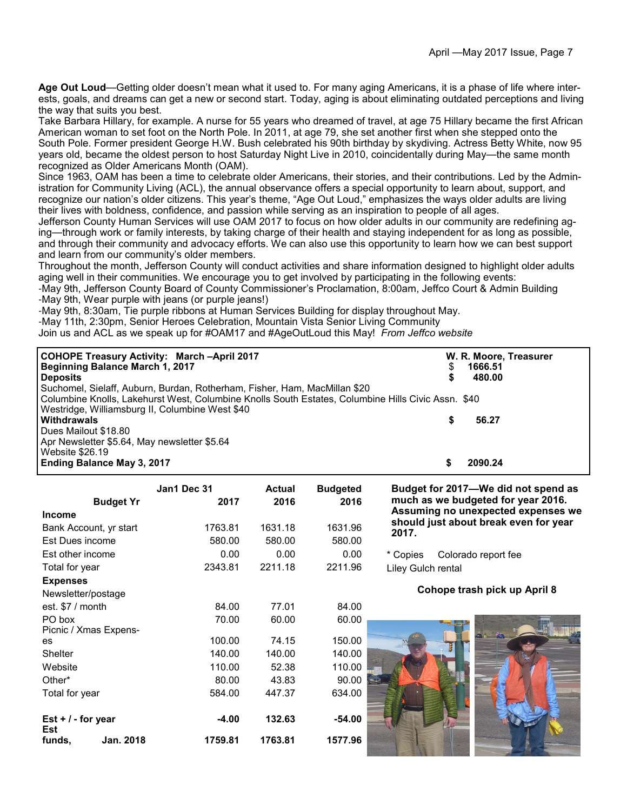**Age Out Loud**—Getting older doesn't mean what it used to. For many aging Americans, it is a phase of life where interests, goals, and dreams can get a new or second start. Today, aging is about eliminating outdated perceptions and living the way that suits you best.

Take Barbara Hillary, for example. A nurse for 55 years who dreamed of travel, at age 75 Hillary became the first African American woman to set foot on the North Pole. In 2011, at age 79, she set another first when she stepped onto the South Pole. Former president George H.W. Bush celebrated his 90th birthday by skydiving. Actress Betty White, now 95 years old, became the oldest person to host Saturday Night Live in 2010, coincidentally during May—the same month recognized as Older Americans Month (OAM).

Since 1963, OAM has been a time to celebrate older Americans, their stories, and their contributions. Led by the Administration for Community Living (ACL), the annual observance offers a special opportunity to learn about, support, and recognize our nation's older citizens. This year's theme, "Age Out Loud," emphasizes the ways older adults are living their lives with boldness, confidence, and passion while serving as an inspiration to people of all ages.

Jefferson County Human Services will use OAM 2017 to focus on how older adults in our community are redefining aging—through work or family interests, by taking charge of their health and staying independent for as long as possible, and through their community and advocacy efforts. We can also use this opportunity to learn how we can best support and learn from our community's older members.

Throughout the month, Jefferson County will conduct activities and share information designed to highlight older adults aging well in their communities. We encourage you to get involved by participating in the following events:

-May 9th, Jefferson County Board of County Commissioner's Proclamation, 8:00am, Jeffco Court & Admin Building -May 9th, Wear purple with jeans (or purple jeans!)

-May 9th, 8:30am, Tie purple ribbons at Human Services Building for display throughout May.

-May 11th, 2:30pm, Senior Heroes Celebration, Mountain Vista Senior Living Community

Join us and ACL as we speak up for #OAM17 and #AgeOutLoud this May! *From Jeffco website*

| COHOPE Treasury Activity: March - April 2017<br>Beginning Balance March 1, 2017<br>S               | W. R. Moore, Treasurer<br>1666.51 |  |  |  |  |
|----------------------------------------------------------------------------------------------------|-----------------------------------|--|--|--|--|
| <b>Deposits</b><br>S                                                                               | 480.00                            |  |  |  |  |
| Suchomel, Sielaff, Auburn, Burdan, Rotherham, Fisher, Ham, MacMillan \$20                          |                                   |  |  |  |  |
| Columbine Knolls, Lakehurst West, Columbine Knolls South Estates, Columbine Hills Civic Assn. \$40 |                                   |  |  |  |  |
| Westridge, Williamsburg II, Columbine West \$40                                                    |                                   |  |  |  |  |
| <b>Nithdrawals</b><br>S                                                                            | 56.27                             |  |  |  |  |
| l Dues Mailout \$18.80                                                                             |                                   |  |  |  |  |
| Apr Newsletter \$5.64, May newsletter \$5.64                                                       |                                   |  |  |  |  |
| Website \$26.19                                                                                    |                                   |  |  |  |  |
| <b>Ending Balance May 3, 2017</b>                                                                  | 2090.24                           |  |  |  |  |

|                           | Jan1 Dec 31 | <b>Actual</b> | <b>Budgeted</b> | Budget for 2017-We did not spend as            |  |  |
|---------------------------|-------------|---------------|-----------------|------------------------------------------------|--|--|
| <b>Budget Yr</b>          | 2017        | 2016          | 2016            | much as we budgeted for year 2016.             |  |  |
| <b>Income</b>             |             |               |                 | Assuming no unexpected expenses we             |  |  |
| Bank Account, yr start    | 1763.81     | 1631.18       | 1631.96         | should just about break even for year<br>2017. |  |  |
| Est Dues income           | 580.00      | 580.00        | 580.00          |                                                |  |  |
| Est other income          | 0.00        | 0.00          | 0.00            | Colorado report fee<br>* Copies                |  |  |
| Total for year            | 2343.81     | 2211.18       | 2211.96         | Liley Gulch rental                             |  |  |
| <b>Expenses</b>           |             |               |                 |                                                |  |  |
| Newsletter/postage        |             |               |                 | Cohope trash pick up April 8                   |  |  |
| est. $$7 /$ month         | 84.00       | 77.01         | 84.00           |                                                |  |  |
| PO box                    | 70.00       | 60.00         | 60.00           |                                                |  |  |
| Picnic / Xmas Expens-     |             |               |                 |                                                |  |  |
| es                        | 100.00      | 74.15         | 150.00          |                                                |  |  |
| <b>Shelter</b>            | 140.00      | 140.00        | 140.00          |                                                |  |  |
| Website                   | 110.00      | 52.38         | 110.00          |                                                |  |  |
| Other*                    | 80.00       | 43.83         | 90.00           |                                                |  |  |
| Total for year            | 584.00      | 447.37        | 634.00          |                                                |  |  |
|                           |             |               |                 |                                                |  |  |
| Est $+/-$ for year<br>Est | -4.00       | 132.63        | $-54.00$        |                                                |  |  |
| Jan. 2018<br>funds.       | 1759.81     | 1763.81       | 1577.96         |                                                |  |  |